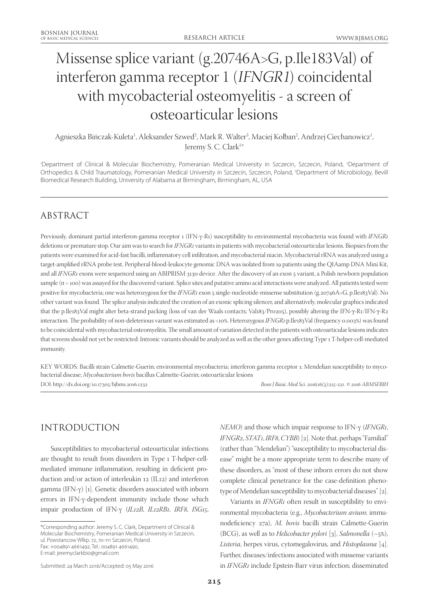# Missense splice variant (g.20746A>G, p.Ile183Val) of interferon gamma receptor 1 (IFNGR1) coincidental with mycobacterial osteomyelitis - a screen of osteoarticular lesions

Agnieszka Bińczak-Kuleta<sup>1</sup>, Aleksander Szwed<sup>2</sup>, Mark R. Walter<sup>3</sup>, Maciej Kołban<sup>2</sup>, Andrzej Ciechanowicz<sup>1</sup>, Jeremy S. C. Clark<sup>1</sup>\*

'Department of Clinical & Molecular Biochemistry, Pomeranian Medical University in Szczecin, Szczecin, Poland, <sup>2</sup>Department of Orthopedics & Child Traumatology, Pomeranian Medical University in Szczecin, Szczecin, Poland, <sup>3</sup>Department of Microbiology, Bevill Biomedical Research Building, University of Alabama at Birmingham, Birmingham, AL, USA

# ABSTRACT

Previously, dominant partial interferon-gamma receptor 1 (IFN-γ-R1) susceptibility to environmental mycobacteria was found with *IFNGR1* deletions or premature stop. Our aim was to search for *IFNGR1* variants in patients with mycobacterial osteoarticular lesions. Biopsies from the patients were examined for acid-fast bacilli, inflammatory cell infiltration, and mycobacterial niacin. Mycobacterial rRNA was analyzed using a target-amplified rRNA probe test. Peripheral-blood-leukocyte genomic DNA was isolated from 19 patients using the QIAamp DNA Mini Kit, and all *IFNGR1* exons were sequenced using an ABIPRISM 3130 device. After the discovery of an exon 5 variant, a Polish newborn population sample (n = 100) was assayed for the discovered variant. Splice sites and putative amino acid interactions were analyzed. All patients tested were positive for mycobacteria; one was heterozygous for the *IFNGR1* exon 5 single-nucleotide-missense substitution (g.20746A>G, p.Ile183Val). No other variant was found. The splice analysis indicated the creation of an exonic splicing silencer, and alternatively, molecular graphics indicated that the p.Ile183Val might alter beta-strand packing (loss of van der Waals contacts; Val183/Pro205), possibly altering the IFN-γ-R1/IFN-γ-R2 interaction. The probability of non-deleterious variant was estimated as <10%. Heterozygous *IFNGR1*:p.Ile183Val (frequency 0.003%) was found to be coincidental with mycobacterial osteomyelitis. The small amount of variation detected in the patients with osteoarticular lesions indicates that screens should not yet be restricted: Intronic variants should be analyzed as well as the other genes affecting Type 1 T-helper-cell-mediated immunity.

KEY WORDS: Bacilli strain Calmette-Guerin; environmental mycobacteria; interferon gamma receptor 1; Mendelian susceptibility to mycobacterial disease; *Mycobacterium bovis* bacillus Calmette-Guérin; osteoarticular lesions

DOI: http://dx.doi.org/10.17305/bjbms.2016.1232 *Bosn J Basic Med Sci. 2016;16(3):215-221. © 2016 ABMSFBIH*

## INTRODUCTION

Susceptibilities to mycobacterial osteoarticular infections are thought to result from disorders in Type 1 T-helper-cellmediated immune inflammation, resulting in deficient production and/or action of interleukin 12 (IL12) and interferon gamma (IFN-γ) [1]. Genetic disorders associated with inborn errors in IFN-γ-dependent immunity include those which impair production of IFN-γ (*IL12B*, *IL12RB1*, *IRF8*, *ISG15*,

*NEMO*) and those which impair response to IFN-γ (*IFNGR1*, *IFNGR2*, *STAT1*, *IRF8*, *CYBB*) [2]. Note that, perhaps "Familial" (rather than "Mendelian") "susceptibility to mycobacterial disease" might be a more appropriate term to describe many of these disorders, as "most of these inborn errors do not show complete clinical penetrance for the case-definition phenotype of Mendelian susceptibility to mycobacterial diseases" [2].

Variants in *IFNGR1* often result in susceptibility to environmental mycobacteria (e.g., *Mycobacterium avium*; immunodeficiency 27a), *M. bovis* bacilli strain Calmette-Guerin (BCG), as well as to *Helicobacter pylori* [3], *Salmonella* (~5%), *Listeria*, herpes virus, cytomegalovirus, and *Histoplasma* [4]. Further, diseases/infections associated with missense variants in *IFNGR1* include Epstein-Barr virus infection; disseminated

<sup>\*</sup>Corresponding author: Jeremy S. C. Clark, Department of Clinical & Molecular Biochemistry, Pomeranian Medical University in Szczecin, ul. Powstancow Wlkp. 72, 70-111 Szczecin, Poland. Fax: +004891 4661492, Tel.: 004891 4661490, E-mail: jeremyclarkbio@gmail.com

Submitted: 24 March 2016/Accepted: 05 May 2016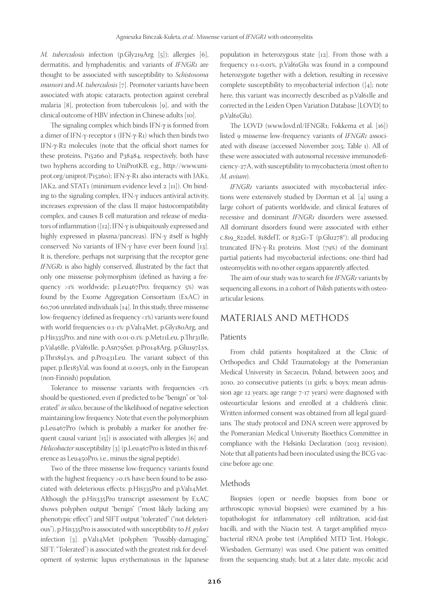*M. tuberculosis* infection (p.Gly219Arg [5]); allergies [6], dermatitis, and lymphadenitis; and variants of *IFNGR1* are thought to be associated with susceptibility to *Schistosoma mansori* and *M. tuberculosis* [7]. Promoter variants have been associated with atopic cataracts, protection against cerebral malaria [8], protection from tuberculosis [9], and with the clinical outcome of HBV infection in Chinese adults [10].

The signaling complex which binds IFN-γ is formed from a dimer of IFN-γ-receptor 1 (IFN-γ-R1) which then binds two IFN-γ-R2 molecules (note that the official short names for these proteins, P15260 and P38484, respectively, both have two hyphens according to UniProtKB, e.g., http://www.uniprot.org/uniprot/P15260); IFN-γ-R1 also interacts with JAK1, JAK2, and STAT1 (minimum evidence level 2 [11]). On binding to the signaling complex, IFN-γ induces antiviral activity, increases expression of the class II major histocompatibility complex, and causes B cell maturation and release of mediators of inflammation ([12]; IFN-γ is ubiquitously expressed and highly expressed in plasma/pancreas). IFN-γ itself is highly conserved: No variants of IFN- $\gamma$  have ever been found [13]. It is, therefore, perhaps not surprising that the receptor gene *IFNGR1* is also highly conserved, illustrated by the fact that only one missense polymorphism (defined as having a frequency >1% worldwide; p.Leu467Pro; frequency 5%) was found by the Exome Aggregation Consortium (ExAC) in 60,706 unrelated individuals [14]. In this study, three missense low-frequency (defined as frequency <1%) variants were found with world frequencies 0.1-1%: p.Val14Met, p.Gly180Arg, and p.His335Pro; and nine with 0.01-0.1%: p.Met11Leu, p.Thr31Ile, p.Val46Ile, p.Val61Ile, p.Asn79Ser, p.Pro148Arg, p.Glu197Lys, p.Thr189Lys, and p.Pro431Leu. The variant subject of this paper, p.Ile183Val, was found at 0.003%, only in the European (non-Finnish) population.

Tolerance to missense variants with frequencies <1% should be questioned, even if predicted to be "benign" or "tolerated" *in silico*, because of the likelihood of negative selection maintaining low frequency. Note that even the polymorphism p.Leu467Pro (which is probably a marker for another frequent causal variant [15]) is associated with allergies [6] and *Helicobacter* susceptibility [3] (p.Leu467Pro is listed in this reference as Leu450Pro, i.e., minus the signal peptide).

Two of the three missense low-frequency variants found with the highest frequency >0.1% have been found to be associated with deleterious effects: p.His335Pro and p.Val14Met. Although the p.His335Pro transcript assessment by ExAC shows polyphen output "benign" ("most likely lacking any phenotypic effect") and SIFT output "tolerated" ("not deleterious"), p.His335Pro is associated with susceptibility to *H. pylori* infection [3]. p.Val14Met (polyphen: "Possibly-damaging," SIFT: "Tolerated") is associated with the greatest risk for development of systemic lupus erythematosus in the Japanese

population in heterozygous state [12]. From those with a frequency 0.1-0.01%, p.Val61Glu was found in a compound heterozygote together with a deletion, resulting in recessive complete susceptibility to mycobacterial infection ([4]; note here, this variant was incorrectly described as p.Val61Ile and corrected in the Leiden Open Variation Database [LOVD] to p.Val61Glu).

The LOVD (www.lovd.nl/IFNGR1; Fokkema et al. [16]) listed 9 missense low-frequency variants of *IFNGR1* associated with disease (accessed November 2015; Table 1). All of these were associated with autosomal recessive immunodeficiency-27A, with susceptibility to mycobacteria (most often to *M. avium*).

*IFNGR1* variants associated with mycobacterial infections were extensively studied by Dorman et al. [4] using a large cohort of patients worldwide, and clinical features of recessive and dominant *IFNGR1* disorders were assessed. All dominant disorders found were associated with either c.819\_822del, 818delT, or 832G>T (p.Glu278\*); all producing truncated IFN-γ-R1 proteins. Most (79%) of the dominant partial patients had mycobacterial infections; one-third had osteomyelitis with no other organs apparently affected.

The aim of our study was to search for *IFNGR1* variants by sequencing all exons, in a cohort of Polish patients with osteoarticular lesions.

#### MATERIALS AND METHODS

#### Patients

From child patients hospitalized at the Clinic of Orthopedics and Child Traumatology at the Pomeranian Medical University in Szczecin, Poland, between 2005 and 2010, 20 consecutive patients (11 girls; 9 boys; mean admission age 12 years; age range 7-17 years) were diagnosed with osteoarticular lesions and enrolled at a children's clinic. Written informed consent was obtained from all legal guardians. The study protocol and DNA screen were approved by the Pomeranian Medical University Bioethics Committee in compliance with the Helsinki Declaration (2013 revision). Note that all patients had been inoculated using the BCG vaccine before age one.

#### Methods

Biopsies (open or needle biopsies from bone or arthroscopic synovial biopsies) were examined by a histopathologist for inflammatory cell infiltration, acid-fast bacilli, and with the Niacin test. A target-amplified mycobacterial rRNA probe test (Amplified MTD Test, Hologic, Wiesbaden, Germany) was used. One patient was omitted from the sequencing study, but at a later date, mycolic acid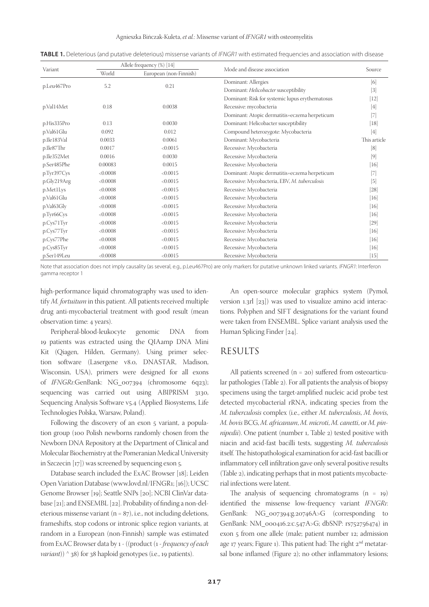|             | Allele frequency (%) [14] |                                                        |                                                 | Source            |  |
|-------------|---------------------------|--------------------------------------------------------|-------------------------------------------------|-------------------|--|
| Variant     | World                     | Mode and disease association<br>European (non-Finnish) |                                                 |                   |  |
| p.Leu467Pro | 5.2                       | 0.21                                                   | Dominant: Allergies                             | [6]               |  |
|             |                           |                                                        | Dominant: Helicobacter susceptibility           | $[3]$             |  |
| p.Val14Met  | 0.18                      | 0.0038                                                 | Dominant: Risk for systemic lupus erythematosus | $[12]$            |  |
|             |                           |                                                        | Recessive: mycobacteria                         | [4]               |  |
|             |                           |                                                        | Dominant: Atopic dermatitis+eczema herpeticum   | $[7]$             |  |
| p.His335Pro | 0.13                      | 0.0030                                                 | Dominant: Helicobacter susceptibility           | [18]              |  |
| p.Val61Glu  | 0.092                     | 0.012                                                  | Compound heterozygote: Mycobacteria             | [4]               |  |
| p.Ile183Val | 0.0033                    | 0.0061                                                 | Dominant: Mycobacteria                          | This article      |  |
| p.Ile87Thr  | 0.0017                    | < 0.0015                                               | Recessive: Mycobacteria                         | [8]               |  |
| p.Ile352Met | 0.0016                    | 0.0030                                                 | Recessive: Mycobacteria                         | [9]               |  |
| p.Ser485Phe | 0.00083                   | 0.0015                                                 | Recessive: Mycobacteria                         | [16]              |  |
| p.Tyr397Cys | < 0.0008                  | < 0.0015                                               | Dominant: Atopic dermatitis+eczema herpeticum   | $[7]$             |  |
| p.Gly219Arg | < 0.0008                  | < 0.0015                                               | Recessive: Mycobacteria, EBV, M. tuberculosis   | $\lceil 5 \rceil$ |  |
| p.Met1Lys   | &0.0008                   | < 0.0015                                               | Recessive: Mycobacteria                         | $[28]$            |  |
| p.Val61Glu  | < 0.0008                  | < 0.0015                                               | Recessive: Mycobacteria                         | $[16]$            |  |
| p.Val63Gly  | &0.0008                   | < 0.0015                                               | Recessive: Mycobacteria                         | $[16]$            |  |
| p.Tyr66Cys  | < 0.0008                  | < 0.0015                                               | Recessive: Mycobacteria                         | $[16]$            |  |
| p.Cys71Tyr  | &0.0008                   | < 0.0015                                               | Recessive: Mycobacteria                         | $[29]$            |  |
| p.Cys77Tyr  | &0.0008                   | < 0.0015                                               | Recessive: Mycobacteria                         | $[16]$            |  |
| p.Cys77Phe  | &0.0008                   | < 0.0015                                               | Recessive: Mycobacteria                         | $[16]$            |  |
| p.Cys85Tyr  | &0.0008                   | < 0.0015                                               | Recessive: Mycobacteria                         | $[16]$            |  |
| p.Ser149Leu | &0.0008                   | < 0.0015                                               | Recessive: Mycobacteria                         | $[15]$            |  |

**TABLE 1.** Deleterious (and putative deleterious) missense variants of IFNGR1 with estimated frequencies and association with disease

Note that association does not imply causality (as several, e.g., p.Leu467Pro) are only markers for putative unknown linked variants. IFNGR1: Interferon gamma receptor 1

high-performance liquid chromatography was used to identify *M. fortuitum* in this patient. All patients received multiple drug anti-mycobacterial treatment with good result (mean observation time: 4 years).

Peripheral-blood-leukocyte genomic DNA from 19 patients was extracted using the QIAamp DNA Mini Kit (Qiagen, Hilden, Germany). Using primer selection software (Lasergene v8.0, DNASTAR, Madison, Wisconsin, USA), primers were designed for all exons of *IFNGR1*:GenBank: NG\_007394 (chromosome 6q23); sequencing was carried out using ABIPRISM 3130, Sequencing Analysis Software v5.4 (Applied Biosystems, Life Technologies Polska, Warsaw, Poland).

Following the discovery of an exon 5 variant, a population group (100 Polish newborns randomly chosen from the Newborn DNA Repository at the Department of Clinical and Molecular Biochemistry at the Pomeranian Medical University in Szczecin [17]) was screened by sequencing exon 5.

Database search included the ExAC Browser [18]; Leiden Open Variation Database (www.lovd.nl/IFNGR1; [16]); UCSC Genome Browser [19]; Seattle SNPs [20]; NCBI ClinVar database [21]; and ENSEMBL [22]. Probability of finding a non-deleterious missense variant ( $n = 87$ ), i.e., not including deletions, frameshifts, stop codons or intronic splice region variants, at random in a European (non-Finnish) sample was estimated from ExAC Browser data by 1 - ((product (1 - *frequency of each variant*)) ^ 38) for 38 haploid genotypes (i.e., 19 patients).

An open-source molecular graphics system (Pymol, version 1.3rl [23]) was used to visualize amino acid interactions. Polyphen and SIFT designations for the variant found were taken from ENSEMBL. Splice variant analysis used the Human Splicing Finder [24].

#### RESULTS

All patients screened (n = 20) suffered from osteoarticular pathologies (Table 2). For all patients the analysis of biopsy specimens using the target-amplified nucleic acid probe test detected mycobacterial rRNA, indicating species from the *M. tuberculosis* complex (i.e., either *M. tuberculosis*, *M. bovis*, *M. bovis* BCG, *M. africanum*, *M. microti*, *M. canetti*, or *M. pinnipedii*). One patient (number 1, Table 2) tested positive with niacin and acid-fast bacilli tests, suggesting *M. tuberculosis* itself. The histopathological examination for acid-fast bacilli or inflammatory cell infiltration gave only several positive results (Table 2), indicating perhaps that in most patients mycobacterial infections were latent.

The analysis of sequencing chromatograms  $(n = 19)$ identified the missense low-frequency variant *IFNGR1*: GenBank: NG\_007394:g.20746A>G (corresponding to GenBank: NM\_000416.2:c.547A>G; dbSNP: rs752756474) in exon 5 from one allele (male; patient number 12; admission age 17 years; Figure 1). This patient had: The right 2<sup>nd</sup> metatarsal bone inflamed (Figure 2); no other inflammatory lesions;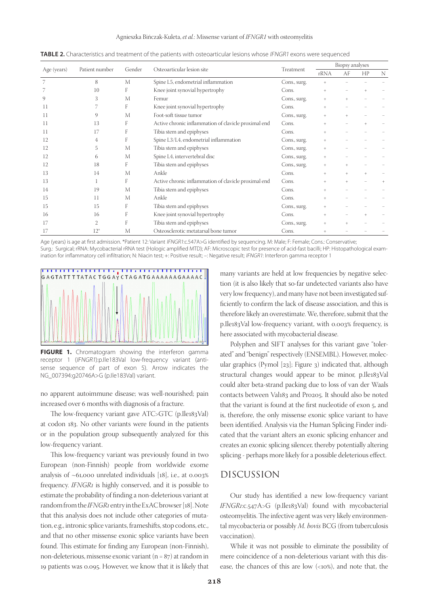Agnieszka Bińczak-Kuleta, *et al.*: Missense variant of *IFNGR1* with osteomyelitis

| Age (years) | Patient number | Gender | Osteoarticular lesion site                           | Treatment    | Biopsy analyses |           |           |   |
|-------------|----------------|--------|------------------------------------------------------|--------------|-----------------|-----------|-----------|---|
|             |                |        |                                                      |              | rRNA            | AF        | HP        | N |
| 7           | 8              | M      | Spine L5, endometrial inflammation                   | Cons., surg. | $\ddot{}$       |           |           |   |
| 7           | 10             | F      | Knee joint synovial hypertrophy                      | Cons.        | $\ddot{}$       |           | $\ddot{}$ |   |
| 9           | 3              | M      | Femur                                                | Cons., surg. | $+$             | $\ddot{}$ |           |   |
| 11          |                | F      | Knee joint synovial hypertrophy                      | Cons.        |                 |           |           |   |
|             | 9              | M      | Foot-soft tissue tumor                               | Cons., surg. | $+$             |           |           |   |
| 11          | 13             | F      | Active chronic inflammation of clavicle proximal end | Cons.        | $\ddot{}$       |           |           |   |
|             | 17             | F      | Tibia stem and epiphyses                             | Cons.        | $+$             |           |           |   |
| 12          | 4              | F      | Spine L3/L4, endometrial inflammation                | Cons., surg. | $+$             |           |           |   |
|             | 5              | M      | Tibia stem and epiphyses                             | Cons., surg. | $+$             |           |           |   |
|             | 6              | M      | Spine L4, intervertebral disc                        | Cons., surg. | $+$             |           |           |   |
| 12          | 18             | F      | Tibia stem and epiphyses                             | Cons., surg. | $+$             | $\ddot{}$ |           |   |
| 13          | 14             | M      | Ankle                                                | Cons.        | $+$             |           |           |   |
| 13          |                | F      | Active chronic inflammation of clavicle proximal end | Cons.        | $+$             |           |           |   |
| 14          | 19             | M      | Tibia stem and epiphyses                             | Cons.        | $+$             |           |           |   |
| 15          | 11             | M      | Ankle                                                | Cons.        | $+$             |           |           |   |
| 15          | 15             | F      | Tibia stem and epiphyses                             | Cons., surg. | $+$             |           |           |   |
| 16          | 16             | F      | Knee joint synovial hypertrophy                      | Cons.        | $+$             |           |           |   |
|             | $\overline{2}$ | F      | Tibia stem and epiphyses                             | Cons., surg. | $+$             |           |           |   |
| 17          | $12*$          | M      | Osteosclerotic metatarsal bone tumor                 | Cons.        | $+$             |           |           |   |

**TABLE 2.** Characteristics and treatment of the patients with osteoarticular lesions whose IFNGR1 exons were sequenced

Age (years) is age at first admission. \*Patient 12: Variant IFNGR1:c.547A>G identified by sequencing. M: Male; F: Female; Cons.: Conservative; Surg.: Surgical; rRNA: Mycobacterial rRNA test (Hologic amplified MTD); AF: Microscopic test for presence of acid-fast bacilli; HP: Histopathological examination for inflammatory cell infiltration; N: Niacin test; +: Positive result; -: Negative result; IFNGR1: Interferon gamma receptor 1



FIGURE 1. Chromatogram showing the interferon gamma receptor 1 (IFNGR1):p.Ile183Val low-frequency variant (antisense sequence of part of exon 5). Arrow indicates the NG\_007394:g20746A>G (p.Ile183Val) variant.

no apparent autoimmune disease; was well-nourished; pain increased over 6 months with diagnosis of a fracture.

The low-frequency variant gave ATC>GTC (p.Ile183Val) at codon 183. No other variants were found in the patients or in the population group subsequently analyzed for this low-frequency variant.

This low-frequency variant was previously found in two European (non-Finnish) people from worldwide exome analysis of  $\sim$ 61,000 unrelated individuals [18], i.e., at 0.003% frequency. *IFNGR1* is highly conserved, and it is possible to estimate the probability of finding a non-deleterious variant at random from the *IFNGR1* entry in the ExAC browser [18]. Note that this analysis does not include other categories of mutation, e.g., intronic splice variants, frameshifts, stop codons, etc., and that no other missense exonic splice variants have been found. This estimate for finding any European (non-Finnish), non-deleterious, missense exonic variant (n = 87) at random in 19 patients was 0.095. However, we know that it is likely that

many variants are held at low frequencies by negative selection (it is also likely that so-far undetected variants also have very low frequency), and many have not been investigated sufficiently to confirm the lack of disease association, and this is therefore likely an overestimate. We, therefore, submit that the p.Ile183Val low-frequency variant, with 0.003% frequency, is here associated with mycobacterial disease.

Polyphen and SIFT analyses for this variant gave "tolerated" and "benign" respectively (ENSEMBL). However, molecular graphics (Pymol [23]; Figure 3) indicated that, although structural changes would appear to be minor, p.Ile183Val could alter beta-strand packing due to loss of van der Waals contacts between Val183 and Pro205. It should also be noted that the variant is found at the first nucleotide of exon 5, and is, therefore, the only missense exonic splice variant to have been identified. Analysis via the Human Splicing Finder indicated that the variant alters an exonic splicing enhancer and creates an exonic splicing silencer, thereby potentially altering splicing - perhaps more likely for a possible deleterious effect.

### DISCUSSION

Our study has identified a new low-frequency variant *IFNGR1*:c.547A>G (p.Ile183Val) found with mycobacterial osteomyelitis. The infective agent was very likely environmental mycobacteria or possibly *M. bovis* BCG (from tuberculosis vaccination).

While it was not possible to eliminate the possibility of mere coincidence of a non-deleterious variant with this disease, the chances of this are low  $\langle 10\% \rangle$ , and note that, the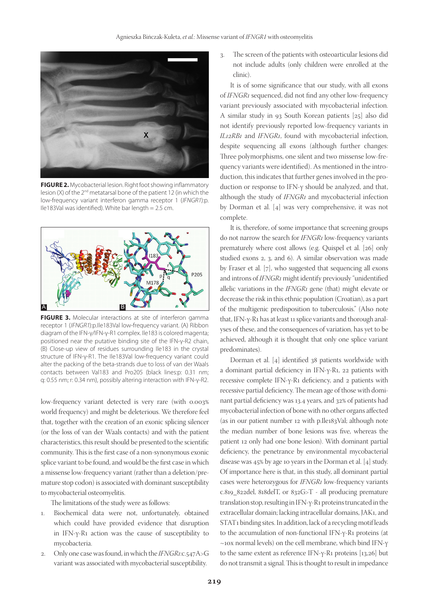

**FIGURE 2.** Mycobacterial lesion. Right foot showing inflammatory lesion (X) of the 2nd metatarsal bone of the patient 12 (in which the low-frequency variant interferon gamma receptor 1 (IFNGR1):p. Ile183Val was identified). White bar length = 2.5 cm.



**FIGURE 3.** Molecular interactions at site of interferon gamma receptor 1 (IFNGR1):p.Ile183Val low-frequency variant. (A) Ribbon diagram of the IFN-γ/IFN-γ-R1 complex. Ile183 is colored magenta; positioned near the putative binding site of the IFN-γ-R2 chain, (B) Close-up view of residues surrounding Ile183 in the crystal structure of IFN-γ-R1. The Ile183Val low-frequency variant could alter the packing of the beta-strands due to loss of van der Waals contacts between Val183 and Pro205 (black lines:p: 0.31 nm; q: 0.55 nm; r: 0.34 nm), possibly altering interaction with IFN-γ-R2.

low-frequency variant detected is very rare (with 0.003% world frequency) and might be deleterious. We therefore feel that, together with the creation of an exonic splicing silencer (or the loss of van der Waals contacts) and with the patient characteristics, this result should be presented to the scientific community. This is the first case of a non-synonymous exonic splice variant to be found, and would be the first case in which a missense low-frequency variant (rather than a deletion/premature stop codon) is associated with dominant susceptibility to mycobacterial osteomyelitis.

The limitations of the study were as follows:

- 1. Biochemical data were not, unfortunately, obtained which could have provided evidence that disruption in IFN-γ-R1 action was the cause of susceptibility to mycobacteria.
- 2. Only one case was found, in which the *IFNGR1*:c.547A>G variant was associated with mycobacterial susceptibility.

3. The screen of the patients with osteoarticular lesions did not include adults (only children were enrolled at the clinic).

It is of some significance that our study, with all exons of *IFNGR1* sequenced, did not find any other low-frequency variant previously associated with mycobacterial infection. A similar study in 93 South Korean patients [25] also did not identify previously reported low-frequency variants in *IL12RB1* and *IFNGR1*, found with mycobacterial infection, despite sequencing all exons (although further changes: Three polymorphisms, one silent and two missense low-frequency variants were identified). As mentioned in the introduction, this indicates that further genes involved in the production or response to IFN-γ should be analyzed, and that, although the study of *IFNGR1* and mycobacterial infection by Dorman et al. [4] was very comprehensive, it was not complete.

It is, therefore, of some importance that screening groups do not narrow the search for *IFNGR1* low-frequency variants prematurely where cost allows (e.g. Quispel et al. [26] only studied exons 2, 3, and 6). A similar observation was made by Fraser et al. [7], who suggested that sequencing all exons and introns of *IFNGR1* might identify previously "unidentified allelic variations in the *IFNGR1* gene (that) might elevate or decrease the risk in this ethnic population (Croatian), as a part of the multigenic predisposition to tuberculosis." (Also note that, IFN-γ-R1 has at least 11 splice variants and thorough analyses of these, and the consequences of variation, has yet to be achieved, although it is thought that only one splice variant predominates).

Dorman et al. [4] identified 38 patients worldwide with a dominant partial deficiency in IFN-γ-R1, 22 patients with recessive complete IFN-γ-R1 deficiency, and 2 patients with recessive partial deficiency. The mean age of those with dominant partial deficiency was 13.4 years, and 32% of patients had mycobacterial infection of bone with no other organs affected (as in our patient number 12 with p.Ile183Val; although note the median number of bone lesions was five, whereas the patient 12 only had one bone lesion). With dominant partial deficiency, the penetrance by environmental mycobacterial disease was 45% by age 10 years in the Dorman et al. [4] study. Of importance here is that, in this study, all dominant partial cases were heterozygous for *IFNGR1* low-frequency variants c.819\_822del, 818delT, or 832G>T - all producing premature translation stop, resulting in IFN-γ-R1 proteins truncated in the extracellular domain; lacking intracellular domains, JAK1, and STAT1 binding sites. In addition, lack of a recycling motif leads to the accumulation of non-functional IFN-γ-R1 proteins (at ~10x normal levels) on the cell membrane, which bind IFN-γ to the same extent as reference IFN-γ-R1 proteins [13,26] but do not transmit a signal. This is thought to result in impedance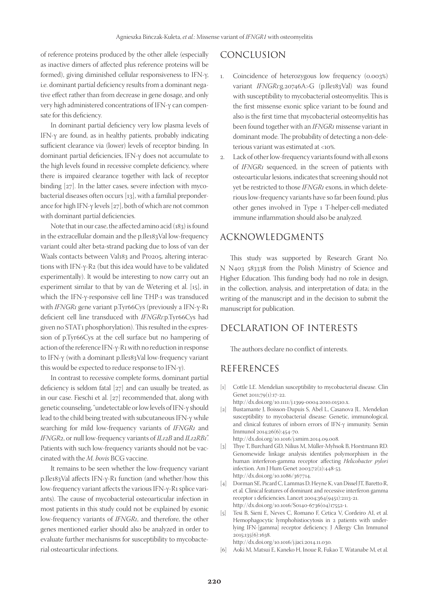of reference proteins produced by the other allele (especially as inactive dimers of affected plus reference proteins will be formed), giving diminished cellular responsiveness to IFN-γ, i.e. dominant partial deficiency results from a dominant negative effect rather than from decrease in gene dosage, and only very high administered concentrations of IFN-γ can compensate for this deficiency.

In dominant partial deficiency very low plasma levels of IFN-γ are found, as in healthy patients, probably indicating sufficient clearance via (lower) levels of receptor binding. In dominant partial deficiencies, IFN-γ does not accumulate to the high levels found in recessive complete deficiency, where there is impaired clearance together with lack of receptor binding [27]. In the latter cases, severe infection with mycobacterial diseases often occurs [13], with a familial preponderance for high IFN-γ levels [27], both of which are not common with dominant partial deficiencies.

Note that in our case, the affected amino acid (183) is found in the extracellular domain and the p.Ile183Val low-frequency variant could alter beta-strand packing due to loss of van der Waals contacts between Val183 and Pro205, altering interactions with IFN-γ-R2 (but this idea would have to be validated experimentally). It would be interesting to now carry out an experiment similar to that by van de Wetering et al. [15], in which the IFN-γ-responsive cell line THP-1 was transduced with *IFNGR1* gene variant p.Tyr66Cys (previously a IFN-γ-R1 deficient cell line transduced with *IFNGR1*:p.Tyr66Cys had given no STAT1 phosphorylation). This resulted in the expression of p.Tyr66Cys at the cell surface but no hampering of action of the reference IFN-γ-R1 with no reduction in response to IFN-γ (with a dominant p.Ile183Val low-frequency variant this would be expected to reduce response to IFN-γ).

In contrast to recessive complete forms, dominant partial deficiency is seldom fatal [27] and can usually be treated, as in our case. Fieschi et al. [27] recommended that, along with genetic counseling, "undetectable or low levels of IFN-γ should lead to the child being treated with subcutaneous IFN-γ while searching for mild low-frequency variants of *IFNGR1* and *IFNGR2*, or null low-frequency variants of *IL12B* and *IL12RB1*". Patients with such low-frequency variants should not be vaccinated with the *M. bovis* BCG vaccine.

It remains to be seen whether the low-frequency variant p.Ile183Val affects IFN-γ-R1 function (and whether/how this low-frequency variant affects the various IFN-γ-R1 splice variants). The cause of mycobacterial osteoarticular infection in most patients in this study could not be explained by exonic low-frequency variants of *IFNGR1*, and therefore, the other genes mentioned earlier should also be analyzed in order to evaluate further mechanisms for susceptibility to mycobacterial osteoarticular infections.

## CONCLUSION

- 1. Coincidence of heterozygous low frequency (0.003%) variant *IFNGR1*:g.20746A>G (p.Ile183Val) was found with susceptibility to mycobacterial osteomyelitis. This is the first missense exonic splice variant to be found and also is the first time that mycobacterial osteomyelitis has been found together with an *IFNGR1* missense variant in dominant mode. The probability of detecting a non-deleterious variant was estimated at <10%.
- 2. Lack of other low-frequency variants found with all exons of *IFNGR1* sequenced, in the screen of patients with osteoarticular lesions, indicates that screening should not yet be restricted to those *IFNGR1* exons, in which deleterious low-frequency variants have so far been found; plus other genes involved in Type 1 T-helper-cell-mediated immune inflammation should also be analyzed.

### ACKNOWLEDGMENTS

This study was supported by Research Grant No. N N403 583338 from the Polish Ministry of Science and Higher Education. This funding body had no role in design, in the collection, analysis, and interpretation of data; in the writing of the manuscript and in the decision to submit the manuscript for publication.

#### DECLARATION OF INTERESTS

The authors declare no conflict of interests.

#### REFERENCES

- [1] Cottle LE. Mendelian susceptibility to mycobacterial disease. Clin Genet 2011;79(1):17-22.
- http://dx.doi.org/10.1111/j.1399-0004.2010.01510.x.
- [2] Bustamante J, Boisson-Dupuis S, Abel L, Casanova JL. Mendelian susceptibility to mycobacterial disease: Genetic, immunological, and clinical features of inborn errors of IFN-γ immunity. Semin Immunol 2014;26(6):454-70.
	- http://dx.doi.org/10.1016/j.smim.2014.09.008.
- [3] Thye T, Burchard GD, Nilius M, Müller-Myhsok B, Horstmann RD. Genomewide linkage analysis identifies polymorphism in the human interferon-gamma receptor affecting *Helicobacter pylori* infection. Am J Hum Genet 2003;72(2):448-53. http://dx.doi.org/10.1086/367714.
- [4] Dorman SE, Picard C, Lammas D, Heyne K, van Dissel JT, Baretto R, et al*.* Clinical features of dominant and recessive interferon gamma receptor 1 deficiencies. Lancet 2004;364(9451):2113-21. http://dx.doi.org/10.1016/S0140-6736(04)17552-1.
- [5] Tesi B, Sieni E, Neves C, Romano F, Cetica V, Cordeiro AI, et al. Hemophagocytic lymphohistiocytosis in 2 patients with underlying IFN-[gamma] receptor deficiency. J Allergy Clin Immunol 2015;135(6):1638.

http://dx.doi.org/10.1016/j.jaci.2014.11.030.

[6] Aoki M, Matsui E, Kaneko H, Inoue R, Fukao T, Watanabe M, et al*.*